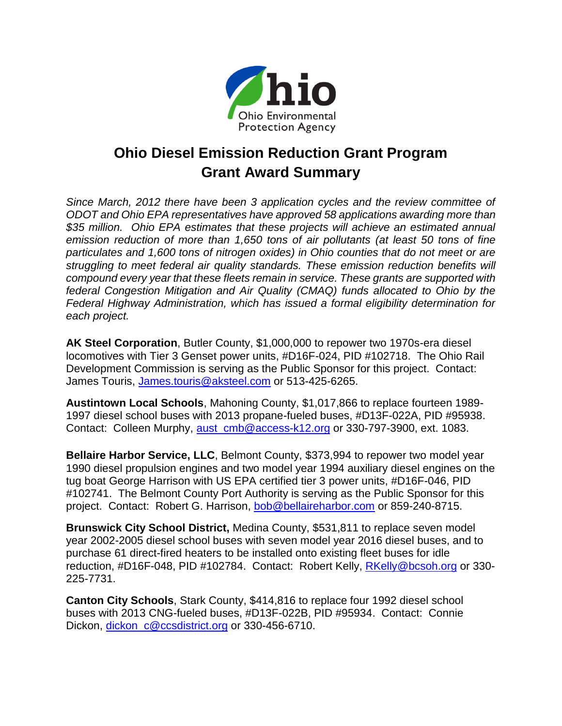

## **Ohio Diesel Emission Reduction Grant Program Grant Award Summary**

*Since March, 2012 there have been 3 application cycles and the review committee of ODOT and Ohio EPA representatives have approved 58 applications awarding more than \$35 million. Ohio EPA estimates that these projects will achieve an estimated annual emission reduction of more than 1,650 tons of air pollutants (at least 50 tons of fine particulates and 1,600 tons of nitrogen oxides) in Ohio counties that do not meet or are struggling to meet federal air quality standards. These emission reduction benefits will compound every year that these fleets remain in service. These grants are supported with federal Congestion Mitigation and Air Quality (CMAQ) funds allocated to Ohio by the Federal Highway Administration, which has issued a formal eligibility determination for each project.* 

**AK Steel Corporation**, Butler County, \$1,000,000 to repower two 1970s-era diesel locomotives with Tier 3 Genset power units, #D16F-024, PID #102718. The Ohio Rail Development Commission is serving as the Public Sponsor for this project. Contact: James Touris, [James.touris@aksteel.com](mailto:James.touris@aksteel.com) or 513-425-6265.

**Austintown Local Schools**, Mahoning County, \$1,017,866 to replace fourteen 1989- 1997 diesel school buses with 2013 propane-fueled buses, #D13F-022A, PID #95938. Contact: Colleen Murphy, [aust\\_cmb@access-k12.org](mailto:aust_cmb@access-k12.org) or 330-797-3900, ext. 1083.

**Bellaire Harbor Service, LLC**, Belmont County, \$373,994 to repower two model year 1990 diesel propulsion engines and two model year 1994 auxiliary diesel engines on the tug boat George Harrison with US EPA certified tier 3 power units, #D16F-046, PID #102741. The Belmont County Port Authority is serving as the Public Sponsor for this project. Contact: Robert G. Harrison, [bob@bellaireharbor.com](mailto:bob@bellaireharbor.com) or 859-240-8715.

**Brunswick City School District,** Medina County, \$531,811 to replace seven model year 2002-2005 diesel school buses with seven model year 2016 diesel buses, and to purchase 61 direct-fired heaters to be installed onto existing fleet buses for idle reduction, #D16F-048, PID #102784. Contact: Robert Kelly, [RKelly@bcsoh.org](mailto:RKelly@bcsoh.org) or 330-225-7731.

**Canton City Schools**, Stark County, \$414,816 to replace four 1992 diesel school buses with 2013 CNG-fueled buses, #D13F-022B, PID #95934. Contact: Connie Dickon, dickon c@ccsdistrict.org or 330-456-6710.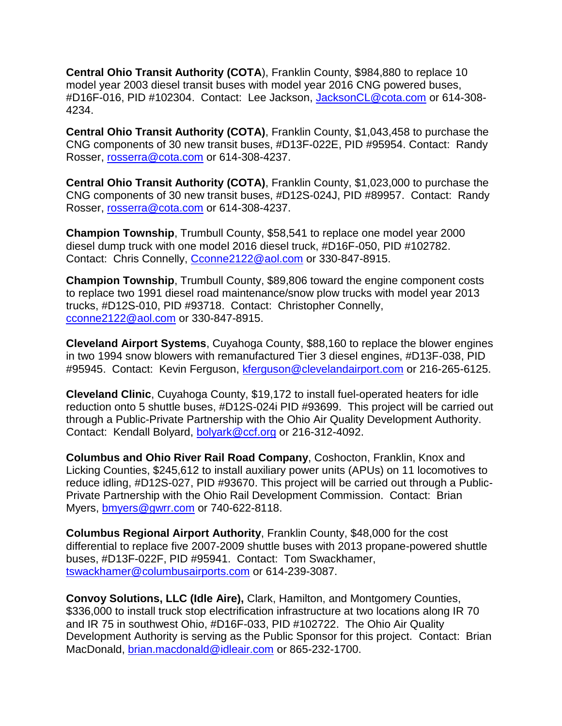**Central Ohio Transit Authority (COTA**), Franklin County, \$984,880 to replace 10 model year 2003 diesel transit buses with model year 2016 CNG powered buses, #D16F-016, PID #102304. Contact: Lee Jackson, [JacksonCL@cota.com](mailto:JacksonCL@cota.com) or 614-308- 4234.

**Central Ohio Transit Authority (COTA)**, Franklin County, \$1,043,458 to purchase the CNG components of 30 new transit buses, #D13F-022E, PID #95954. Contact: Randy Rosser, [rosserra@cota.com](mailto:rosserra@cota.com) or 614-308-4237.

**Central Ohio Transit Authority (COTA)**, Franklin County, \$1,023,000 to purchase the CNG components of 30 new transit buses, #D12S-024J, PID #89957. Contact: Randy Rosser, [rosserra@cota.com](mailto:rosserra@cota.com) or 614-308-4237.

**Champion Township**, Trumbull County, \$58,541 to replace one model year 2000 diesel dump truck with one model 2016 diesel truck, #D16F-050, PID #102782. Contact: Chris Connelly, [Cconne2122@aol.com](mailto:Cconne2122@aol.com) or 330-847-8915.

**Champion Township**, Trumbull County, \$89,806 toward the engine component costs to replace two 1991 diesel road maintenance/snow plow trucks with model year 2013 trucks, #D12S-010, PID #93718. Contact: Christopher Connelly, [cconne2122@aol.com](mailto:cconne2122@aol.com) or 330-847-8915.

**Cleveland Airport Systems**, Cuyahoga County, \$88,160 to replace the blower engines in two 1994 snow blowers with remanufactured Tier 3 diesel engines, #D13F-038, PID #95945. Contact: Kevin Ferguson, [kferguson@clevelandairport.com](mailto:kferguson@clevelandairport.com) or 216-265-6125.

**Cleveland Clinic**, Cuyahoga County, \$19,172 to install fuel-operated heaters for idle reduction onto 5 shuttle buses, #D12S-024i PID #93699. This project will be carried out through a Public-Private Partnership with the Ohio Air Quality Development Authority. Contact: Kendall Bolyard, [bolyark@ccf.org](mailto:bolyark@ccf.org) or 216-312-4092.

**Columbus and Ohio River Rail Road Company**, Coshocton, Franklin, Knox and Licking Counties, \$245,612 to install auxiliary power units (APUs) on 11 locomotives to reduce idling, #D12S-027, PID #93670. This project will be carried out through a Public-Private Partnership with the Ohio Rail Development Commission. Contact: Brian Myers, [bmyers@gwrr.com](mailto:bmyers@gwrr.com) or 740-622-8118.

**Columbus Regional Airport Authority**, Franklin County, \$48,000 for the cost differential to replace five 2007-2009 shuttle buses with 2013 propane-powered shuttle buses, #D13F-022F, PID #95941. Contact: Tom Swackhamer, [tswackhamer@columbusairports.com](mailto:tswackhamer@columbusairports.com) or 614-239-3087.

**Convoy Solutions, LLC (Idle Aire),** Clark, Hamilton, and Montgomery Counties, \$336,000 to install truck stop electrification infrastructure at two locations along IR 70 and IR 75 in southwest Ohio, #D16F-033, PID #102722. The Ohio Air Quality Development Authority is serving as the Public Sponsor for this project. Contact: Brian MacDonald, [brian.macdonald@idleair.com](mailto:brian.macdonald@idleair.com) or 865-232-1700.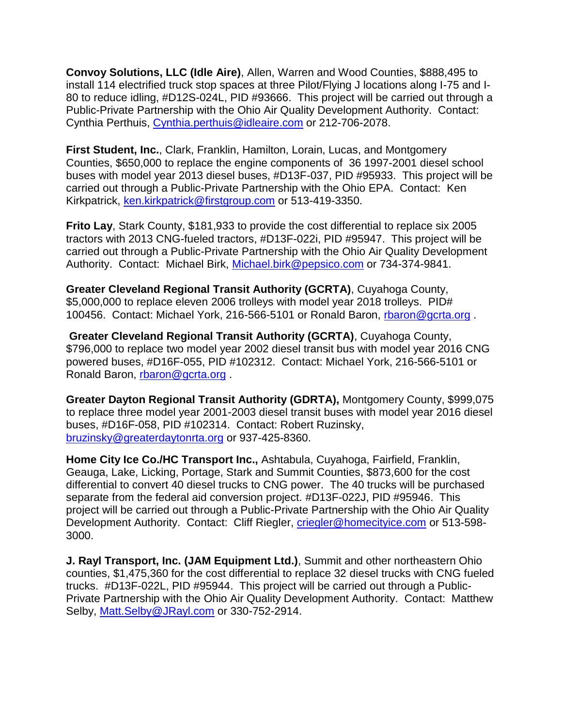**Convoy Solutions, LLC (Idle Aire)**, Allen, Warren and Wood Counties, \$888,495 to install 114 electrified truck stop spaces at three Pilot/Flying J locations along I-75 and I-80 to reduce idling, #D12S-024L, PID #93666. This project will be carried out through a Public-Private Partnership with the Ohio Air Quality Development Authority. Contact: Cynthia Perthuis, [Cynthia.perthuis@idleaire.com](mailto:Cynthia.perthuis@idleaire.com) or 212-706-2078.

**First Student, Inc.**, Clark, Franklin, Hamilton, Lorain, Lucas, and Montgomery Counties, \$650,000 to replace the engine components of 36 1997-2001 diesel school buses with model year 2013 diesel buses, #D13F-037, PID #95933. This project will be carried out through a Public-Private Partnership with the Ohio EPA. Contact: Ken Kirkpatrick, [ken.kirkpatrick@firstgroup.com](mailto:ken.kirkpatrick@firstgroup.com) or 513-419-3350.

**Frito Lay**, Stark County, \$181,933 to provide the cost differential to replace six 2005 tractors with 2013 CNG-fueled tractors, #D13F-022i, PID #95947. This project will be carried out through a Public-Private Partnership with the Ohio Air Quality Development Authority. Contact: Michael Birk, [Michael.birk@pepsico.com](mailto:Michael.birk@pepsico.com) or 734-374-9841.

**Greater Cleveland Regional Transit Authority (GCRTA)**, Cuyahoga County, \$5,000,000 to replace eleven 2006 trolleys with model year 2018 trolleys. PID# 100456. Contact: Michael York, 216-566-5101 or Ronald Baron, [rbaron@gcrta.org](mailto:rbaron@gcrta.org) .

**Greater Cleveland Regional Transit Authority (GCRTA)**, Cuyahoga County, \$796,000 to replace two model year 2002 diesel transit bus with model year 2016 CNG powered buses, #D16F-055, PID #102312. Contact: Michael York, 216-566-5101 or Ronald Baron, [rbaron@gcrta.org](mailto:rbaron@gcrta.org) .

**Greater Dayton Regional Transit Authority (GDRTA),** Montgomery County, \$999,075 to replace three model year 2001-2003 diesel transit buses with model year 2016 diesel buses, #D16F-058, PID #102314. Contact: Robert Ruzinsky, [bruzinsky@greaterdaytonrta.org](mailto:bruzinsky@greaterdaytonrta.org) or 937-425-8360.

**Home City Ice Co./HC Transport Inc.,** Ashtabula, Cuyahoga, Fairfield, Franklin, Geauga, Lake, Licking, Portage, Stark and Summit Counties, \$873,600 for the cost differential to convert 40 diesel trucks to CNG power. The 40 trucks will be purchased separate from the federal aid conversion project. #D13F-022J, PID #95946. This project will be carried out through a Public-Private Partnership with the Ohio Air Quality Development Authority. Contact: Cliff Riegler, [criegler@homecityice.com](mailto:criegler@homecityice.com) or 513-598- 3000.

**J. Rayl Transport, Inc. (JAM Equipment Ltd.)**, Summit and other northeastern Ohio counties, \$1,475,360 for the cost differential to replace 32 diesel trucks with CNG fueled trucks. #D13F-022L, PID #95944. This project will be carried out through a Public-Private Partnership with the Ohio Air Quality Development Authority. Contact: Matthew Selby, [Matt.Selby@JRayl.com](mailto:Matt.Selby@JRayl.com) or 330-752-2914.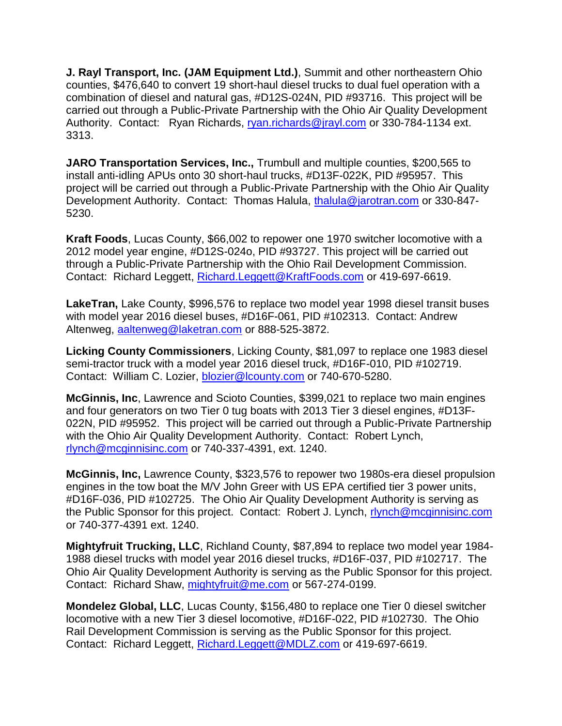**J. Rayl Transport, Inc. (JAM Equipment Ltd.)**, Summit and other northeastern Ohio counties, \$476,640 to convert 19 short-haul diesel trucks to dual fuel operation with a combination of diesel and natural gas, #D12S-024N, PID #93716. This project will be carried out through a Public-Private Partnership with the Ohio Air Quality Development Authority. Contact: Ryan Richards, [ryan.richards@jrayl.com](mailto:ryan.richards@jrayl.com) or 330-784-1134 ext. 3313.

**JARO Transportation Services, Inc.,** Trumbull and multiple counties, \$200,565 to install anti-idling APUs onto 30 short-haul trucks, #D13F-022K, PID #95957. This project will be carried out through a Public-Private Partnership with the Ohio Air Quality Development Authority. Contact: Thomas Halula, [thalula@jarotran.com](mailto:thalula@jarotran.com) or 330-847-5230.

**Kraft Foods**, Lucas County, \$66,002 to repower one 1970 switcher locomotive with a 2012 model year engine, #D12S-024o, PID #93727. This project will be carried out through a Public-Private Partnership with the Ohio Rail Development Commission. Contact: Richard Leggett, [Richard.Leggett@KraftFoods.com](mailto:Richard.Leggett@KraftFoods.com) or 419-697-6619.

**LakeTran,** Lake County, \$996,576 to replace two model year 1998 diesel transit buses with model year 2016 diesel buses, #D16F-061, PID #102313. Contact: Andrew Altenweg, [aaltenweg@laketran.com](mailto:aaltenweg@laketran.com) or 888-525-3872.

**Licking County Commissioners**, Licking County, \$81,097 to replace one 1983 diesel semi-tractor truck with a model year 2016 diesel truck, #D16F-010, PID #102719. Contact: William C. Lozier, [blozier@lcounty.com](mailto:blozier@lcounty.com) or 740-670-5280.

**McGinnis, Inc**, Lawrence and Scioto Counties, \$399,021 to replace two main engines and four generators on two Tier 0 tug boats with 2013 Tier 3 diesel engines, #D13F-022N, PID #95952. This project will be carried out through a Public-Private Partnership with the Ohio Air Quality Development Authority. Contact: Robert Lynch, [rlynch@mcginnisinc.com](mailto:rlynch@mcginnisinc.com) or 740-337-4391, ext. 1240.

**McGinnis, Inc,** Lawrence County, \$323,576 to repower two 1980s-era diesel propulsion engines in the tow boat the M/V John Greer with US EPA certified tier 3 power units, #D16F-036, PID #102725. The Ohio Air Quality Development Authority is serving as the Public Sponsor for this project. Contact: Robert J. Lynch, [rlynch@mcginnisinc.com](mailto:rlynch@mcginnisinc.com) or 740-377-4391 ext. 1240.

**Mightyfruit Trucking, LLC**, Richland County, \$87,894 to replace two model year 1984- 1988 diesel trucks with model year 2016 diesel trucks, #D16F-037, PID #102717. The Ohio Air Quality Development Authority is serving as the Public Sponsor for this project. Contact: Richard Shaw, [mightyfruit@me.com](mailto:mightyfruit@me.com) or 567-274-0199.

**Mondelez Global, LLC**, Lucas County, \$156,480 to replace one Tier 0 diesel switcher locomotive with a new Tier 3 diesel locomotive, #D16F-022, PID #102730. The Ohio Rail Development Commission is serving as the Public Sponsor for this project. Contact: Richard Leggett, [Richard.Leggett@MDLZ.com](mailto:Richard.Leggett@MDLZ.com) or 419-697-6619.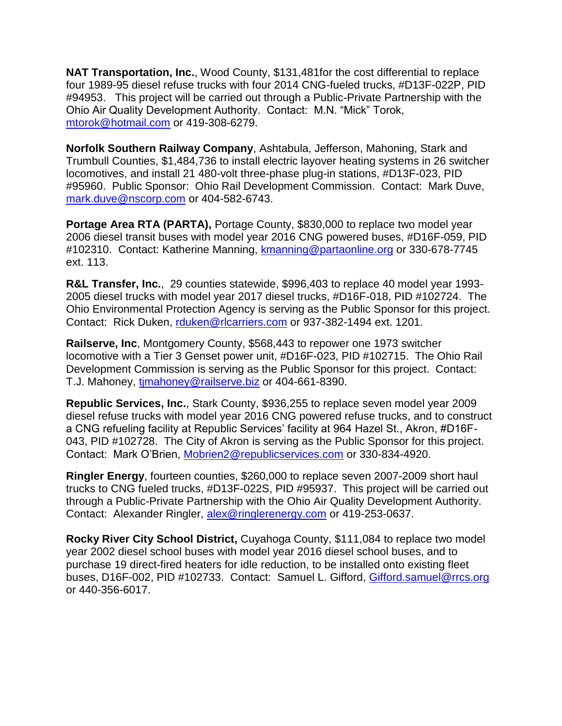**NAT Transportation, Inc.**, Wood County, \$131,481for the cost differential to replace four 1989-95 diesel refuse trucks with four 2014 CNG-fueled trucks, #D13F-022P, PID #94953. This project will be carried out through a Public-Private Partnership with the Ohio Air Quality Development Authority. Contact: M.N. "Mick" Torok, [mtorok@hotmail.com](mailto:mtorok@hotmail.com) or 419-308-6279.

**Norfolk Southern Railway Company**, Ashtabula, Jefferson, Mahoning, Stark and Trumbull Counties, \$1,484,736 to install electric layover heating systems in 26 switcher locomotives, and install 21 480-volt three-phase plug-in stations, #D13F-023, PID #95960. Public Sponsor: Ohio Rail Development Commission. Contact: Mark Duve, [mark.duve@nscorp.com](mailto:mark.duve@nscorp.com) or 404-582-6743.

**Portage Area RTA (PARTA),** Portage County, \$830,000 to replace two model year 2006 diesel transit buses with model year 2016 CNG powered buses, #D16F-059, PID #102310. Contact: Katherine Manning, [kmanning@partaonline.org](mailto:kmanning@partaonline.org) or 330-678-7745 ext. 113.

**R&L Transfer, Inc.**, 29 counties statewide, \$996,403 to replace 40 model year 1993- 2005 diesel trucks with model year 2017 diesel trucks, #D16F-018, PID #102724. The Ohio Environmental Protection Agency is serving as the Public Sponsor for this project. Contact: Rick Duken, [rduken@rlcarriers.com](mailto:rduken@rlcarriers.com) or 937-382-1494 ext. 1201.

**Railserve, Inc**, Montgomery County, \$568,443 to repower one 1973 switcher locomotive with a Tier 3 Genset power unit, #D16F-023, PID #102715. The Ohio Rail Development Commission is serving as the Public Sponsor for this project. Contact: T.J. Mahoney, [tjmahoney@railserve.biz](mailto:tjmahoney@railserve.biz) or 404-661-8390.

**Republic Services, Inc.**, Stark County, \$936,255 to replace seven model year 2009 diesel refuse trucks with model year 2016 CNG powered refuse trucks, and to construct a CNG refueling facility at Republic Services' facility at 964 Hazel St., Akron, #D16F-043, PID #102728. The City of Akron is serving as the Public Sponsor for this project. Contact: Mark O'Brien, [Mobrien2@republicservices.com](mailto:Mobrien2@republicservices.com) or 330-834-4920.

**Ringler Energy**, fourteen counties, \$260,000 to replace seven 2007-2009 short haul trucks to CNG fueled trucks, #D13F-022S, PID #95937. This project will be carried out through a Public-Private Partnership with the Ohio Air Quality Development Authority. Contact: Alexander Ringler, [alex@ringlerenergy.com](mailto:alex@ringlerenergy.com) or 419-253-0637.

**Rocky River City School District,** Cuyahoga County, \$111,084 to replace two model year 2002 diesel school buses with model year 2016 diesel school buses, and to purchase 19 direct-fired heaters for idle reduction, to be installed onto existing fleet buses, D16F-002, PID #102733. Contact: Samuel L. Gifford, [Gifford.samuel@rrcs.org](mailto:Gifford.samuel@rrcs.org) or 440-356-6017.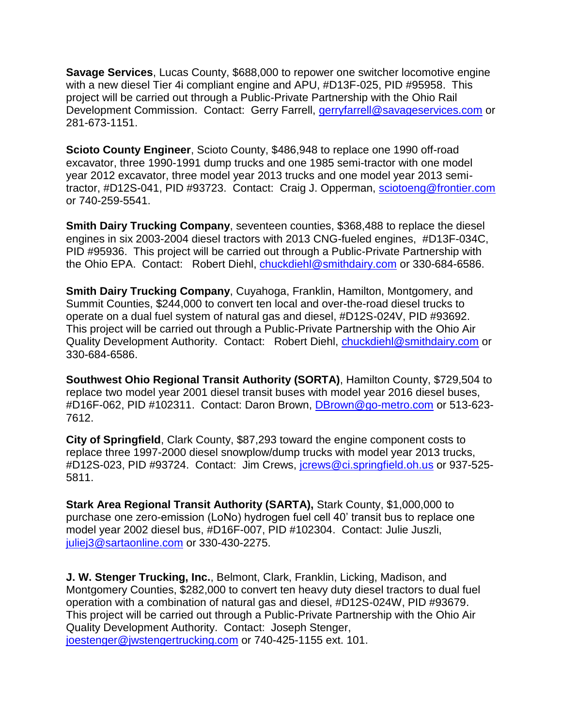**Savage Services**, Lucas County, \$688,000 to repower one switcher locomotive engine with a new diesel Tier 4i compliant engine and APU, #D13F-025, PID #95958. This project will be carried out through a Public-Private Partnership with the Ohio Rail Development Commission. Contact: Gerry Farrell, [gerryfarrell@savageservices.com](mailto:gerryfarrell@savageservices.com) or 281-673-1151.

**Scioto County Engineer**, Scioto County, \$486,948 to replace one 1990 off-road excavator, three 1990-1991 dump trucks and one 1985 semi-tractor with one model year 2012 excavator, three model year 2013 trucks and one model year 2013 semitractor, #D12S-041, PID #93723. Contact: Craig J. Opperman, [sciotoeng@frontier.com](mailto:sciotoeng@frontier.com) or 740-259-5541.

**Smith Dairy Trucking Company**, seventeen counties, \$368,488 to replace the diesel engines in six 2003-2004 diesel tractors with 2013 CNG-fueled engines, #D13F-034C, PID #95936. This project will be carried out through a Public-Private Partnership with the Ohio EPA. Contact: Robert Diehl, [chuckdiehl@smithdairy.com](mailto:chuckdiehl@smithdairy.com) or 330-684-6586.

**Smith Dairy Trucking Company**, Cuyahoga, Franklin, Hamilton, Montgomery, and Summit Counties, \$244,000 to convert ten local and over-the-road diesel trucks to operate on a dual fuel system of natural gas and diesel, #D12S-024V, PID #93692. This project will be carried out through a Public-Private Partnership with the Ohio Air Quality Development Authority. Contact: Robert Diehl, [chuckdiehl@smithdairy.com](mailto:chuckdiehl@smithdairy.com) or 330-684-6586.

**Southwest Ohio Regional Transit Authority (SORTA)**, Hamilton County, \$729,504 to replace two model year 2001 diesel transit buses with model year 2016 diesel buses, #D16F-062, PID #102311. Contact: Daron Brown, [DBrown@go-metro.com](mailto:DBrown@go-metro.com) or 513-623- 7612.

**City of Springfield**, Clark County, \$87,293 toward the engine component costs to replace three 1997-2000 diesel snowplow/dump trucks with model year 2013 trucks, #D12S-023, PID #93724. Contact: Jim Crews, [jcrews@ci.springfield.oh.us](mailto:jcrews@ci.springfield.oh.us) or 937-525- 5811.

**Stark Area Regional Transit Authority (SARTA),** Stark County, \$1,000,000 to purchase one zero-emission (LoNo) hydrogen fuel cell 40' transit bus to replace one model year 2002 diesel bus, #D16F-007, PID #102304. Contact: Julie Juszli, [juliej3@sartaonline.com](mailto:juliej3@sartaonline.com) or 330-430-2275.

**J. W. Stenger Trucking, Inc.**, Belmont, Clark, Franklin, Licking, Madison, and Montgomery Counties, \$282,000 to convert ten heavy duty diesel tractors to dual fuel operation with a combination of natural gas and diesel, #D12S-024W, PID #93679. This project will be carried out through a Public-Private Partnership with the Ohio Air Quality Development Authority. Contact: Joseph Stenger, [joestenger@jwstengertrucking.com](mailto:joestenger@jwstengertrucking.com) or 740-425-1155 ext. 101.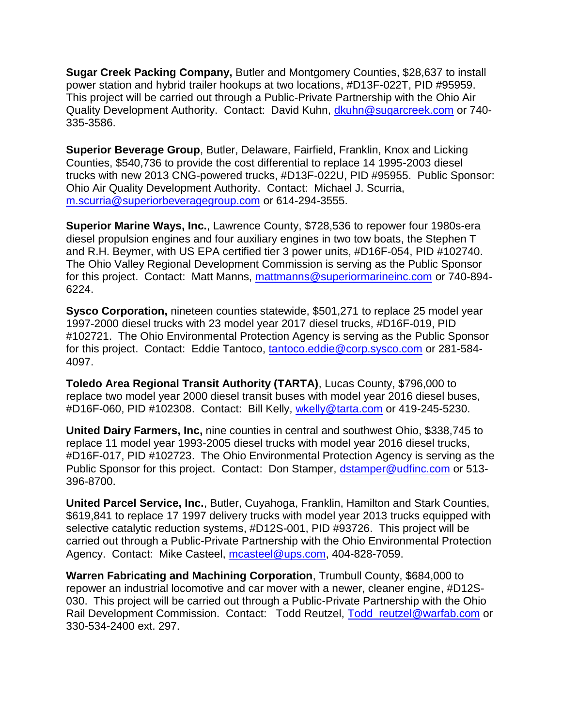**Sugar Creek Packing Company,** Butler and Montgomery Counties, \$28,637 to install power station and hybrid trailer hookups at two locations, #D13F-022T, PID #95959. This project will be carried out through a Public-Private Partnership with the Ohio Air Quality Development Authority. Contact: David Kuhn, [dkuhn@sugarcreek.com](mailto:dkuhn@sugarcreek.com) or 740- 335-3586.

**Superior Beverage Group**, Butler, Delaware, Fairfield, Franklin, Knox and Licking Counties, \$540,736 to provide the cost differential to replace 14 1995-2003 diesel trucks with new 2013 CNG-powered trucks, #D13F-022U, PID #95955. Public Sponsor: Ohio Air Quality Development Authority. Contact: Michael J. Scurria, [m.scurria@superiorbeveragegroup.com](mailto:m.scurria@superiorbeveragegroup.com) or 614-294-3555.

**Superior Marine Ways, Inc.**, Lawrence County, \$728,536 to repower four 1980s-era diesel propulsion engines and four auxiliary engines in two tow boats, the Stephen T and R.H. Beymer, with US EPA certified tier 3 power units, #D16F-054, PID #102740. The Ohio Valley Regional Development Commission is serving as the Public Sponsor for this project. Contact: Matt Manns, [mattmanns@superiormarineinc.com](mailto:mattmanns@superiormarineinc.com) or 740-894-6224.

**Sysco Corporation,** nineteen counties statewide, \$501,271 to replace 25 model year 1997-2000 diesel trucks with 23 model year 2017 diesel trucks, #D16F-019, PID #102721. The Ohio Environmental Protection Agency is serving as the Public Sponsor for this project. Contact: Eddie Tantoco, [tantoco.eddie@corp.sysco.com](mailto:tantoco.eddie@corp.sysco.com) or 281-584- 4097.

**Toledo Area Regional Transit Authority (TARTA)**, Lucas County, \$796,000 to replace two model year 2000 diesel transit buses with model year 2016 diesel buses, #D16F-060, PID #102308. Contact: Bill Kelly, [wkelly@tarta.com](mailto:wkelly@tarta.com) or 419-245-5230.

**United Dairy Farmers, Inc,** nine counties in central and southwest Ohio, \$338,745 to replace 11 model year 1993-2005 diesel trucks with model year 2016 diesel trucks, #D16F-017, PID #102723. The Ohio Environmental Protection Agency is serving as the Public Sponsor for this project. Contact: Don Stamper, [dstamper@udfinc.com](mailto:dstamper@udfinc.com) or 513-396-8700.

**United Parcel Service, Inc.**, Butler, Cuyahoga, Franklin, Hamilton and Stark Counties, \$619,841 to replace 17 1997 delivery trucks with model year 2013 trucks equipped with selective catalytic reduction systems, #D12S-001, PID #93726. This project will be carried out through a Public-Private Partnership with the Ohio Environmental Protection Agency. Contact: Mike Casteel, [mcasteel@ups.com,](mailto:mcasteel@ups.com) 404-828-7059.

**Warren Fabricating and Machining Corporation**, Trumbull County, \$684,000 to repower an industrial locomotive and car mover with a newer, cleaner engine, #D12S-030. This project will be carried out through a Public-Private Partnership with the Ohio Rail Development Commission. Contact: Todd Reutzel, Todd reutzel@warfab.com or 330-534-2400 ext. 297.